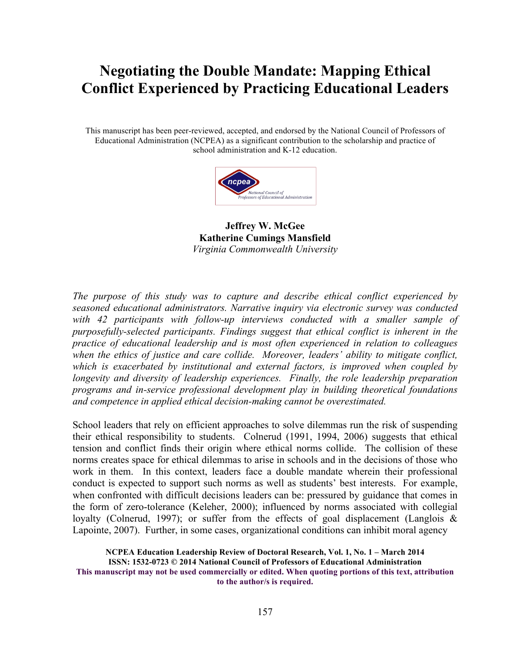# **Negotiating the Double Mandate: Mapping Ethical Conflict Experienced by Practicing Educational Leaders**

This manuscript has been peer-reviewed, accepted, and endorsed by the National Council of Professors of Educational Administration (NCPEA) as a significant contribution to the scholarship and practice of school administration and K-12 education.



**Jeffrey W. McGee Katherine Cumings Mansfield** *Virginia Commonwealth University*

*The purpose of this study was to capture and describe ethical conflict experienced by seasoned educational administrators. Narrative inquiry via electronic survey was conducted with 42 participants with follow-up interviews conducted with a smaller sample of purposefully-selected participants. Findings suggest that ethical conflict is inherent in the practice of educational leadership and is most often experienced in relation to colleagues when the ethics of justice and care collide. Moreover, leaders' ability to mitigate conflict, which is exacerbated by institutional and external factors, is improved when coupled by longevity and diversity of leadership experiences. Finally, the role leadership preparation programs and in-service professional development play in building theoretical foundations and competence in applied ethical decision-making cannot be overestimated.*

School leaders that rely on efficient approaches to solve dilemmas run the risk of suspending their ethical responsibility to students. Colnerud (1991, 1994, 2006) suggests that ethical tension and conflict finds their origin where ethical norms collide. The collision of these norms creates space for ethical dilemmas to arise in schools and in the decisions of those who work in them. In this context, leaders face a double mandate wherein their professional conduct is expected to support such norms as well as students' best interests. For example, when confronted with difficult decisions leaders can be: pressured by guidance that comes in the form of zero-tolerance (Keleher, 2000); influenced by norms associated with collegial loyalty (Colnerud, 1997); or suffer from the effects of goal displacement (Langlois & Lapointe, 2007). Further, in some cases, organizational conditions can inhibit moral agency

**NCPEA Education Leadership Review of Doctoral Research, Vol. 1, No. 1 – March 2014 ISSN: 1532-0723 © 2014 National Council of Professors of Educational Administration This manuscript may not be used commercially or edited. When quoting portions of this text, attribution to the author/s is required.**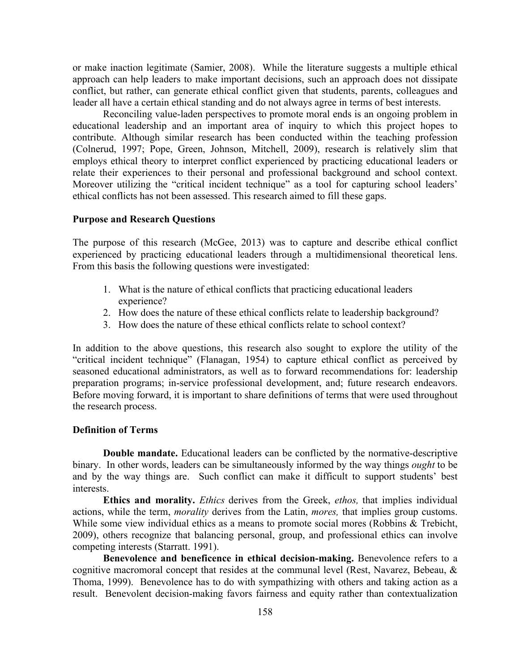or make inaction legitimate (Samier, 2008). While the literature suggests a multiple ethical approach can help leaders to make important decisions, such an approach does not dissipate conflict, but rather, can generate ethical conflict given that students, parents, colleagues and leader all have a certain ethical standing and do not always agree in terms of best interests.

Reconciling value-laden perspectives to promote moral ends is an ongoing problem in educational leadership and an important area of inquiry to which this project hopes to contribute. Although similar research has been conducted within the teaching profession (Colnerud, 1997; Pope, Green, Johnson, Mitchell, 2009), research is relatively slim that employs ethical theory to interpret conflict experienced by practicing educational leaders or relate their experiences to their personal and professional background and school context. Moreover utilizing the "critical incident technique" as a tool for capturing school leaders' ethical conflicts has not been assessed. This research aimed to fill these gaps.

#### **Purpose and Research Questions**

The purpose of this research (McGee, 2013) was to capture and describe ethical conflict experienced by practicing educational leaders through a multidimensional theoretical lens. From this basis the following questions were investigated:

- 1. What is the nature of ethical conflicts that practicing educational leaders experience?
- 2. How does the nature of these ethical conflicts relate to leadership background?
- 3. How does the nature of these ethical conflicts relate to school context?

In addition to the above questions, this research also sought to explore the utility of the "critical incident technique" (Flanagan, 1954) to capture ethical conflict as perceived by seasoned educational administrators, as well as to forward recommendations for: leadership preparation programs; in-service professional development, and; future research endeavors. Before moving forward, it is important to share definitions of terms that were used throughout the research process.

#### **Definition of Terms**

**Double mandate.** Educational leaders can be conflicted by the normative-descriptive binary. In other words, leaders can be simultaneously informed by the way things *ought* to be and by the way things are. Such conflict can make it difficult to support students' best interests.

**Ethics and morality.** *Ethics* derives from the Greek, *ethos,* that implies individual actions, while the term, *morality* derives from the Latin, *mores,* that implies group customs. While some view individual ethics as a means to promote social mores (Robbins & Trebicht, 2009), others recognize that balancing personal, group, and professional ethics can involve competing interests (Starratt. 1991).

**Benevolence and beneficence in ethical decision-making.** Benevolence refers to a cognitive macromoral concept that resides at the communal level (Rest, Navarez, Bebeau, & Thoma, 1999). Benevolence has to do with sympathizing with others and taking action as a result. Benevolent decision-making favors fairness and equity rather than contextualization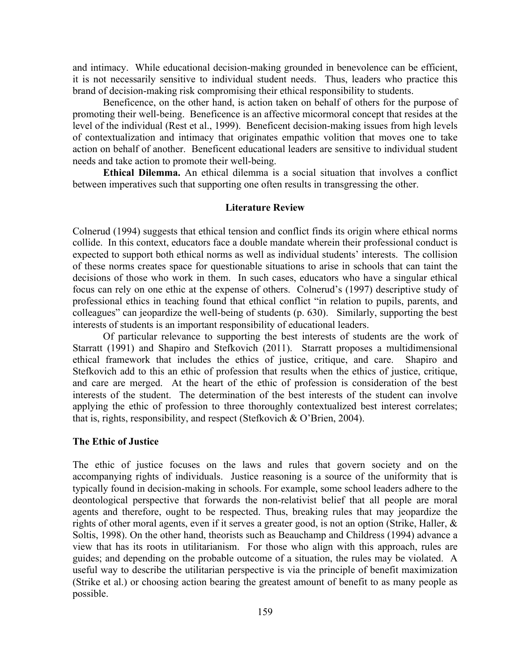and intimacy. While educational decision-making grounded in benevolence can be efficient, it is not necessarily sensitive to individual student needs. Thus, leaders who practice this brand of decision-making risk compromising their ethical responsibility to students.

Beneficence, on the other hand, is action taken on behalf of others for the purpose of promoting their well-being. Beneficence is an affective micormoral concept that resides at the level of the individual (Rest et al., 1999). Beneficent decision-making issues from high levels of contextualization and intimacy that originates empathic volition that moves one to take action on behalf of another. Beneficent educational leaders are sensitive to individual student needs and take action to promote their well-being.

**Ethical Dilemma.** An ethical dilemma is a social situation that involves a conflict between imperatives such that supporting one often results in transgressing the other.

#### **Literature Review**

Colnerud (1994) suggests that ethical tension and conflict finds its origin where ethical norms collide. In this context, educators face a double mandate wherein their professional conduct is expected to support both ethical norms as well as individual students' interests. The collision of these norms creates space for questionable situations to arise in schools that can taint the decisions of those who work in them. In such cases, educators who have a singular ethical focus can rely on one ethic at the expense of others. Colnerud's (1997) descriptive study of professional ethics in teaching found that ethical conflict "in relation to pupils, parents, and colleagues" can jeopardize the well-being of students (p. 630). Similarly, supporting the best interests of students is an important responsibility of educational leaders.

Of particular relevance to supporting the best interests of students are the work of Starratt (1991) and Shapiro and Stefkovich (2011). Starratt proposes a multidimensional ethical framework that includes the ethics of justice, critique, and care. Shapiro and Stefkovich add to this an ethic of profession that results when the ethics of justice, critique, and care are merged. At the heart of the ethic of profession is consideration of the best interests of the student. The determination of the best interests of the student can involve applying the ethic of profession to three thoroughly contextualized best interest correlates; that is, rights, responsibility, and respect (Stefkovich & O'Brien, 2004).

### **The Ethic of Justice**

The ethic of justice focuses on the laws and rules that govern society and on the accompanying rights of individuals. Justice reasoning is a source of the uniformity that is typically found in decision-making in schools. For example, some school leaders adhere to the deontological perspective that forwards the non-relativist belief that all people are moral agents and therefore, ought to be respected. Thus, breaking rules that may jeopardize the rights of other moral agents, even if it serves a greater good, is not an option (Strike, Haller, & Soltis, 1998). On the other hand, theorists such as Beauchamp and Childress (1994) advance a view that has its roots in utilitarianism. For those who align with this approach, rules are guides; and depending on the probable outcome of a situation, the rules may be violated. A useful way to describe the utilitarian perspective is via the principle of benefit maximization (Strike et al.) or choosing action bearing the greatest amount of benefit to as many people as possible.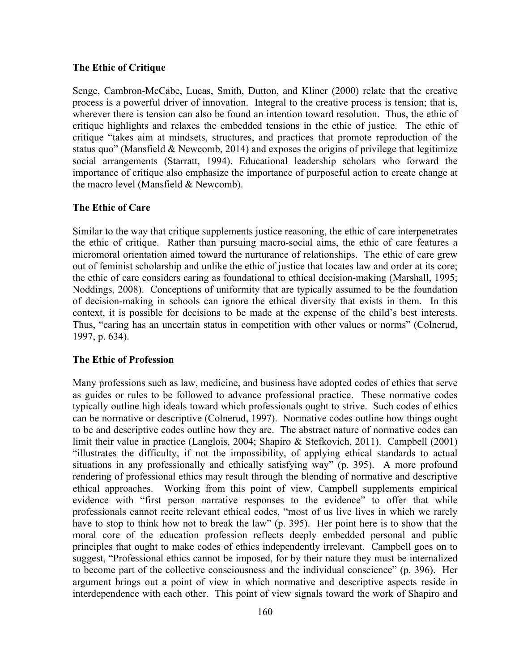# **The Ethic of Critique**

Senge, Cambron-McCabe, Lucas, Smith, Dutton, and Kliner (2000) relate that the creative process is a powerful driver of innovation. Integral to the creative process is tension; that is, wherever there is tension can also be found an intention toward resolution. Thus, the ethic of critique highlights and relaxes the embedded tensions in the ethic of justice. The ethic of critique "takes aim at mindsets, structures, and practices that promote reproduction of the status quo" (Mansfield & Newcomb, 2014) and exposes the origins of privilege that legitimize social arrangements (Starratt, 1994). Educational leadership scholars who forward the importance of critique also emphasize the importance of purposeful action to create change at the macro level (Mansfield & Newcomb).

#### **The Ethic of Care**

Similar to the way that critique supplements justice reasoning, the ethic of care interpenetrates the ethic of critique. Rather than pursuing macro-social aims, the ethic of care features a micromoral orientation aimed toward the nurturance of relationships. The ethic of care grew out of feminist scholarship and unlike the ethic of justice that locates law and order at its core; the ethic of care considers caring as foundational to ethical decision-making (Marshall, 1995; Noddings, 2008). Conceptions of uniformity that are typically assumed to be the foundation of decision-making in schools can ignore the ethical diversity that exists in them. In this context, it is possible for decisions to be made at the expense of the child's best interests. Thus, "caring has an uncertain status in competition with other values or norms" (Colnerud, 1997, p. 634).

#### **The Ethic of Profession**

Many professions such as law, medicine, and business have adopted codes of ethics that serve as guides or rules to be followed to advance professional practice. These normative codes typically outline high ideals toward which professionals ought to strive. Such codes of ethics can be normative or descriptive (Colnerud, 1997). Normative codes outline how things ought to be and descriptive codes outline how they are. The abstract nature of normative codes can limit their value in practice (Langlois, 2004; Shapiro & Stefkovich, 2011). Campbell (2001) "illustrates the difficulty, if not the impossibility, of applying ethical standards to actual situations in any professionally and ethically satisfying way" (p. 395). A more profound rendering of professional ethics may result through the blending of normative and descriptive ethical approaches. Working from this point of view, Campbell supplements empirical evidence with "first person narrative responses to the evidence" to offer that while professionals cannot recite relevant ethical codes, "most of us live lives in which we rarely have to stop to think how not to break the law" (p. 395). Her point here is to show that the moral core of the education profession reflects deeply embedded personal and public principles that ought to make codes of ethics independently irrelevant. Campbell goes on to suggest, "Professional ethics cannot be imposed, for by their nature they must be internalized to become part of the collective consciousness and the individual conscience" (p. 396). Her argument brings out a point of view in which normative and descriptive aspects reside in interdependence with each other. This point of view signals toward the work of Shapiro and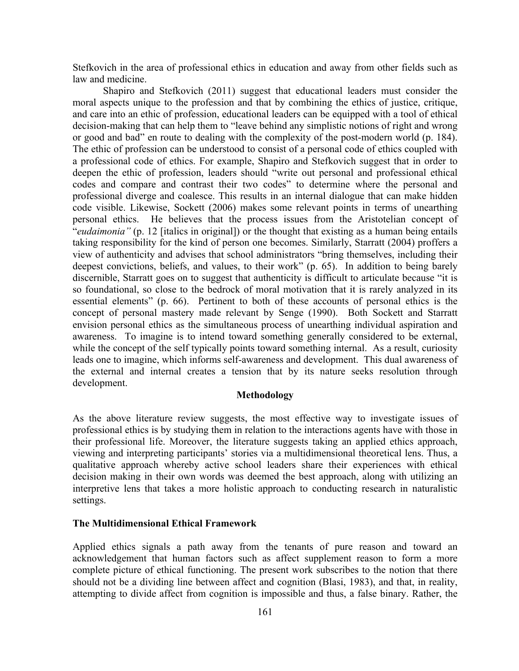Stefkovich in the area of professional ethics in education and away from other fields such as law and medicine.

Shapiro and Stefkovich (2011) suggest that educational leaders must consider the moral aspects unique to the profession and that by combining the ethics of justice, critique, and care into an ethic of profession, educational leaders can be equipped with a tool of ethical decision-making that can help them to "leave behind any simplistic notions of right and wrong or good and bad" en route to dealing with the complexity of the post-modern world (p. 184). The ethic of profession can be understood to consist of a personal code of ethics coupled with a professional code of ethics. For example, Shapiro and Stefkovich suggest that in order to deepen the ethic of profession, leaders should "write out personal and professional ethical codes and compare and contrast their two codes" to determine where the personal and professional diverge and coalesce. This results in an internal dialogue that can make hidden code visible. Likewise, Sockett (2006) makes some relevant points in terms of unearthing personal ethics. He believes that the process issues from the Aristotelian concept of "*eudaimonia"* (p. 12 [italics in original]) or the thought that existing as a human being entails taking responsibility for the kind of person one becomes. Similarly, Starratt (2004) proffers a view of authenticity and advises that school administrators "bring themselves, including their deepest convictions, beliefs, and values, to their work" (p. 65). In addition to being barely discernible, Starratt goes on to suggest that authenticity is difficult to articulate because "it is so foundational, so close to the bedrock of moral motivation that it is rarely analyzed in its essential elements" (p. 66). Pertinent to both of these accounts of personal ethics is the concept of personal mastery made relevant by Senge (1990). Both Sockett and Starratt envision personal ethics as the simultaneous process of unearthing individual aspiration and awareness. To imagine is to intend toward something generally considered to be external, while the concept of the self typically points toward something internal. As a result, curiosity leads one to imagine, which informs self-awareness and development. This dual awareness of the external and internal creates a tension that by its nature seeks resolution through development.

# **Methodology**

As the above literature review suggests, the most effective way to investigate issues of professional ethics is by studying them in relation to the interactions agents have with those in their professional life. Moreover, the literature suggests taking an applied ethics approach, viewing and interpreting participants' stories via a multidimensional theoretical lens. Thus, a qualitative approach whereby active school leaders share their experiences with ethical decision making in their own words was deemed the best approach, along with utilizing an interpretive lens that takes a more holistic approach to conducting research in naturalistic settings.

#### **The Multidimensional Ethical Framework**

Applied ethics signals a path away from the tenants of pure reason and toward an acknowledgement that human factors such as affect supplement reason to form a more complete picture of ethical functioning. The present work subscribes to the notion that there should not be a dividing line between affect and cognition (Blasi, 1983), and that, in reality, attempting to divide affect from cognition is impossible and thus, a false binary. Rather, the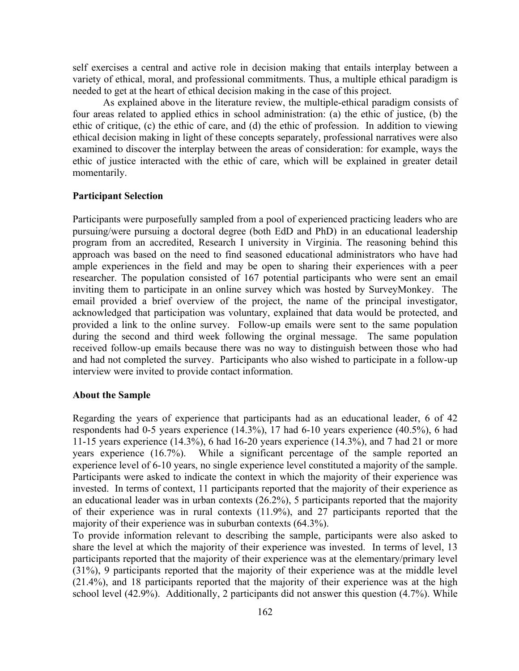self exercises a central and active role in decision making that entails interplay between a variety of ethical, moral, and professional commitments. Thus, a multiple ethical paradigm is needed to get at the heart of ethical decision making in the case of this project.

As explained above in the literature review, the multiple-ethical paradigm consists of four areas related to applied ethics in school administration: (a) the ethic of justice, (b) the ethic of critique, (c) the ethic of care, and (d) the ethic of profession. In addition to viewing ethical decision making in light of these concepts separately, professional narratives were also examined to discover the interplay between the areas of consideration: for example, ways the ethic of justice interacted with the ethic of care, which will be explained in greater detail momentarily.

#### **Participant Selection**

Participants were purposefully sampled from a pool of experienced practicing leaders who are pursuing/were pursuing a doctoral degree (both EdD and PhD) in an educational leadership program from an accredited, Research I university in Virginia. The reasoning behind this approach was based on the need to find seasoned educational administrators who have had ample experiences in the field and may be open to sharing their experiences with a peer researcher. The population consisted of 167 potential participants who were sent an email inviting them to participate in an online survey which was hosted by SurveyMonkey. The email provided a brief overview of the project, the name of the principal investigator, acknowledged that participation was voluntary, explained that data would be protected, and provided a link to the online survey. Follow-up emails were sent to the same population during the second and third week following the orginal message. The same population received follow-up emails because there was no way to distinguish between those who had and had not completed the survey. Participants who also wished to participate in a follow-up interview were invited to provide contact information.

#### **About the Sample**

Regarding the years of experience that participants had as an educational leader, 6 of 42 respondents had 0-5 years experience (14.3%), 17 had 6-10 years experience (40.5%), 6 had 11-15 years experience (14.3%), 6 had 16-20 years experience (14.3%), and 7 had 21 or more years experience (16.7%). While a significant percentage of the sample reported an experience level of 6-10 years, no single experience level constituted a majority of the sample. Participants were asked to indicate the context in which the majority of their experience was invested. In terms of context, 11 participants reported that the majority of their experience as an educational leader was in urban contexts (26.2%), 5 participants reported that the majority of their experience was in rural contexts (11.9%), and 27 participants reported that the majority of their experience was in suburban contexts (64.3%).

To provide information relevant to describing the sample, participants were also asked to share the level at which the majority of their experience was invested. In terms of level, 13 participants reported that the majority of their experience was at the elementary/primary level (31%), 9 participants reported that the majority of their experience was at the middle level (21.4%), and 18 participants reported that the majority of their experience was at the high school level (42.9%). Additionally, 2 participants did not answer this question (4.7%). While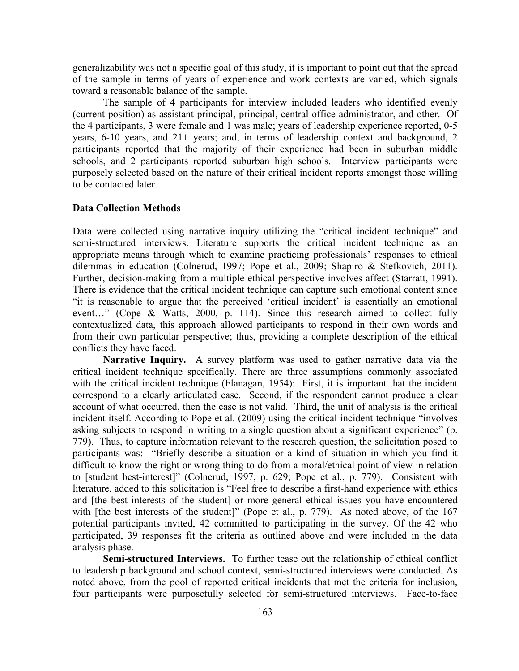generalizability was not a specific goal of this study, it is important to point out that the spread of the sample in terms of years of experience and work contexts are varied, which signals toward a reasonable balance of the sample.

The sample of 4 participants for interview included leaders who identified evenly (current position) as assistant principal, principal, central office administrator, and other. Of the 4 participants, 3 were female and 1 was male; years of leadership experience reported, 0-5 years, 6-10 years, and 21+ years; and, in terms of leadership context and background, 2 participants reported that the majority of their experience had been in suburban middle schools, and 2 participants reported suburban high schools.Interview participants were purposely selected based on the nature of their critical incident reports amongst those willing to be contacted later.

### **Data Collection Methods**

Data were collected using narrative inquiry utilizing the "critical incident technique" and semi-structured interviews. Literature supports the critical incident technique as an appropriate means through which to examine practicing professionals' responses to ethical dilemmas in education (Colnerud, 1997; Pope et al., 2009; Shapiro & Stefkovich, 2011). Further, decision-making from a multiple ethical perspective involves affect (Starratt, 1991). There is evidence that the critical incident technique can capture such emotional content since "it is reasonable to argue that the perceived 'critical incident' is essentially an emotional event…" (Cope & Watts, 2000, p. 114). Since this research aimed to collect fully contextualized data, this approach allowed participants to respond in their own words and from their own particular perspective; thus, providing a complete description of the ethical conflicts they have faced.

**Narrative Inquiry.** A survey platform was used to gather narrative data via the critical incident technique specifically. There are three assumptions commonly associated with the critical incident technique (Flanagan, 1954): First, it is important that the incident correspond to a clearly articulated case. Second, if the respondent cannot produce a clear account of what occurred, then the case is not valid. Third, the unit of analysis is the critical incident itself. According to Pope et al. (2009) using the critical incident technique "involves asking subjects to respond in writing to a single question about a significant experience" (p. 779). Thus, to capture information relevant to the research question, the solicitation posed to participants was: "Briefly describe a situation or a kind of situation in which you find it difficult to know the right or wrong thing to do from a moral/ethical point of view in relation to [student best-interest]" (Colnerud, 1997, p. 629; Pope et al., p. 779). Consistent with literature, added to this solicitation is "Feel free to describe a first-hand experience with ethics and [the best interests of the student] or more general ethical issues you have encountered with [the best interests of the student]" (Pope et al., p. 779). As noted above, of the 167 potential participants invited, 42 committed to participating in the survey. Of the 42 who participated, 39 responses fit the criteria as outlined above and were included in the data analysis phase.

**Semi-structured Interviews.** To further tease out the relationship of ethical conflict to leadership background and school context, semi-structured interviews were conducted. As noted above, from the pool of reported critical incidents that met the criteria for inclusion, four participants were purposefully selected for semi-structured interviews. Face-to-face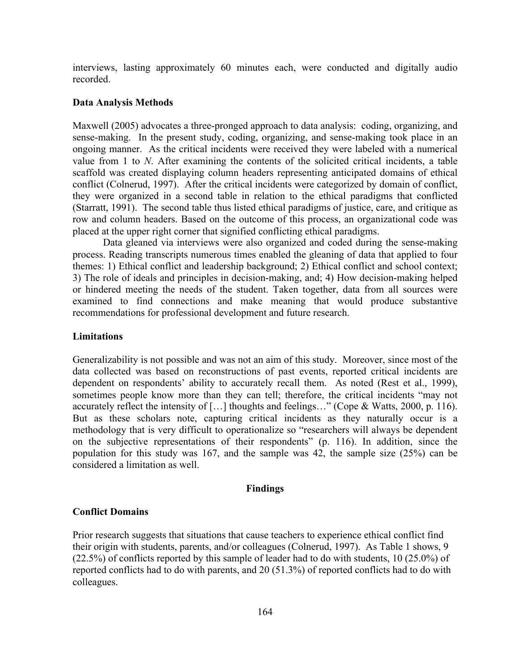interviews, lasting approximately 60 minutes each, were conducted and digitally audio recorded.

#### **Data Analysis Methods**

Maxwell (2005) advocates a three-pronged approach to data analysis: coding, organizing, and sense-making. In the present study, coding, organizing, and sense-making took place in an ongoing manner. As the critical incidents were received they were labeled with a numerical value from 1 to *N*. After examining the contents of the solicited critical incidents, a table scaffold was created displaying column headers representing anticipated domains of ethical conflict (Colnerud, 1997). After the critical incidents were categorized by domain of conflict, they were organized in a second table in relation to the ethical paradigms that conflicted (Starratt, 1991). The second table thus listed ethical paradigms of justice, care, and critique as row and column headers. Based on the outcome of this process, an organizational code was placed at the upper right corner that signified conflicting ethical paradigms.

Data gleaned via interviews were also organized and coded during the sense-making process. Reading transcripts numerous times enabled the gleaning of data that applied to four themes: 1) Ethical conflict and leadership background; 2) Ethical conflict and school context; 3) The role of ideals and principles in decision-making, and; 4) How decision-making helped or hindered meeting the needs of the student. Taken together, data from all sources were examined to find connections and make meaning that would produce substantive recommendations for professional development and future research.

#### **Limitations**

Generalizability is not possible and was not an aim of this study. Moreover, since most of the data collected was based on reconstructions of past events, reported critical incidents are dependent on respondents' ability to accurately recall them. As noted (Rest et al., 1999), sometimes people know more than they can tell; therefore, the critical incidents "may not accurately reflect the intensity of […] thoughts and feelings…" (Cope & Watts, 2000, p. 116). But as these scholars note, capturing critical incidents as they naturally occur is a methodology that is very difficult to operationalize so "researchers will always be dependent on the subjective representations of their respondents" (p. 116). In addition, since the population for this study was 167, and the sample was 42, the sample size (25%) can be considered a limitation as well.

#### **Findings**

#### **Conflict Domains**

Prior research suggests that situations that cause teachers to experience ethical conflict find their origin with students, parents, and/or colleagues (Colnerud, 1997). As Table 1 shows, 9 (22.5%) of conflicts reported by this sample of leader had to do with students, 10 (25.0%) of reported conflicts had to do with parents, and 20 (51.3%) of reported conflicts had to do with colleagues.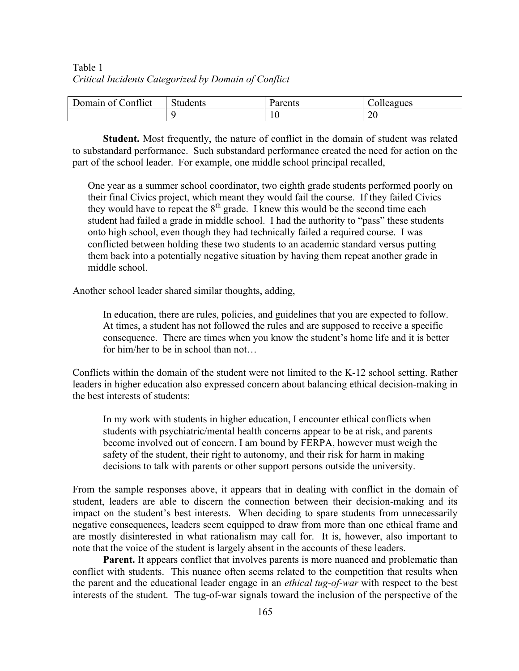# Table 1 *Critical Incidents Categorized by Domain of Conflict*

| $\sim$<br>Jomain of<br>onflict/ | $\sim$<br>Students | Parents | olleagues |
|---------------------------------|--------------------|---------|-----------|
|                                 |                    | 1 V     | ንበ<br>∠∪  |

**Student.** Most frequently, the nature of conflict in the domain of student was related to substandard performance. Such substandard performance created the need for action on the part of the school leader. For example, one middle school principal recalled,

One year as a summer school coordinator, two eighth grade students performed poorly on their final Civics project, which meant they would fail the course. If they failed Civics they would have to repeat the  $8<sup>th</sup>$  grade. I knew this would be the second time each student had failed a grade in middle school. I had the authority to "pass" these students onto high school, even though they had technically failed a required course. I was conflicted between holding these two students to an academic standard versus putting them back into a potentially negative situation by having them repeat another grade in middle school.

Another school leader shared similar thoughts, adding,

In education, there are rules, policies, and guidelines that you are expected to follow. At times, a student has not followed the rules and are supposed to receive a specific consequence. There are times when you know the student's home life and it is better for him/her to be in school than not…

Conflicts within the domain of the student were not limited to the K-12 school setting. Rather leaders in higher education also expressed concern about balancing ethical decision-making in the best interests of students:

In my work with students in higher education, I encounter ethical conflicts when students with psychiatric/mental health concerns appear to be at risk, and parents become involved out of concern. I am bound by FERPA, however must weigh the safety of the student, their right to autonomy, and their risk for harm in making decisions to talk with parents or other support persons outside the university.

From the sample responses above, it appears that in dealing with conflict in the domain of student, leaders are able to discern the connection between their decision-making and its impact on the student's best interests. When deciding to spare students from unnecessarily negative consequences, leaders seem equipped to draw from more than one ethical frame and are mostly disinterested in what rationalism may call for. It is, however, also important to note that the voice of the student is largely absent in the accounts of these leaders.

**Parent.** It appears conflict that involves parents is more nuanced and problematic than conflict with students. This nuance often seems related to the competition that results when the parent and the educational leader engage in an *ethical tug-of-war* with respect to the best interests of the student. The tug-of-war signals toward the inclusion of the perspective of the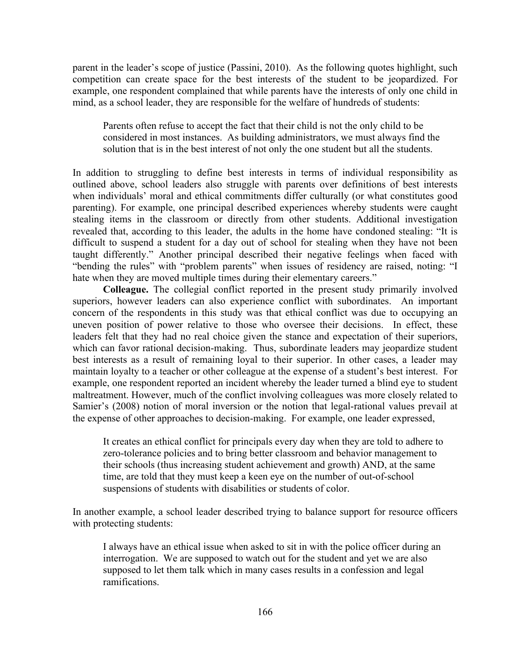parent in the leader's scope of justice (Passini, 2010). As the following quotes highlight, such competition can create space for the best interests of the student to be jeopardized. For example, one respondent complained that while parents have the interests of only one child in mind, as a school leader, they are responsible for the welfare of hundreds of students:

Parents often refuse to accept the fact that their child is not the only child to be considered in most instances. As building administrators, we must always find the solution that is in the best interest of not only the one student but all the students.

In addition to struggling to define best interests in terms of individual responsibility as outlined above, school leaders also struggle with parents over definitions of best interests when individuals' moral and ethical commitments differ culturally (or what constitutes good parenting). For example, one principal described experiences whereby students were caught stealing items in the classroom or directly from other students. Additional investigation revealed that, according to this leader, the adults in the home have condoned stealing: "It is difficult to suspend a student for a day out of school for stealing when they have not been taught differently." Another principal described their negative feelings when faced with "bending the rules" with "problem parents" when issues of residency are raised, noting: "I hate when they are moved multiple times during their elementary careers."

**Colleague.** The collegial conflict reported in the present study primarily involved superiors, however leaders can also experience conflict with subordinates. An important concern of the respondents in this study was that ethical conflict was due to occupying an uneven position of power relative to those who oversee their decisions. In effect, these leaders felt that they had no real choice given the stance and expectation of their superiors, which can favor rational decision-making. Thus, subordinate leaders may jeopardize student best interests as a result of remaining loyal to their superior. In other cases, a leader may maintain loyalty to a teacher or other colleague at the expense of a student's best interest. For example, one respondent reported an incident whereby the leader turned a blind eye to student maltreatment. However, much of the conflict involving colleagues was more closely related to Samier's (2008) notion of moral inversion or the notion that legal-rational values prevail at the expense of other approaches to decision-making. For example, one leader expressed,

It creates an ethical conflict for principals every day when they are told to adhere to zero-tolerance policies and to bring better classroom and behavior management to their schools (thus increasing student achievement and growth) AND, at the same time, are told that they must keep a keen eye on the number of out-of-school suspensions of students with disabilities or students of color.

In another example, a school leader described trying to balance support for resource officers with protecting students:

I always have an ethical issue when asked to sit in with the police officer during an interrogation. We are supposed to watch out for the student and yet we are also supposed to let them talk which in many cases results in a confession and legal ramifications.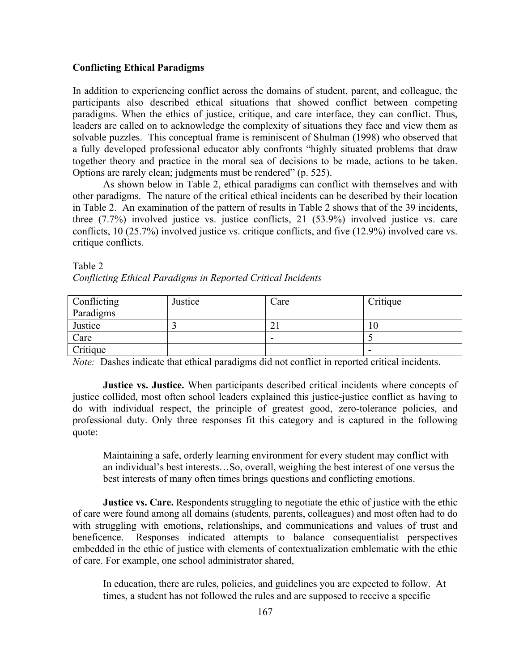# **Conflicting Ethical Paradigms**

In addition to experiencing conflict across the domains of student, parent, and colleague, the participants also described ethical situations that showed conflict between competing paradigms. When the ethics of justice, critique, and care interface, they can conflict. Thus, leaders are called on to acknowledge the complexity of situations they face and view them as solvable puzzles. This conceptual frame is reminiscent of Shulman (1998) who observed that a fully developed professional educator ably confronts "highly situated problems that draw together theory and practice in the moral sea of decisions to be made, actions to be taken. Options are rarely clean; judgments must be rendered" (p. 525).

As shown below in Table 2, ethical paradigms can conflict with themselves and with other paradigms. The nature of the critical ethical incidents can be described by their location in Table 2. An examination of the pattern of results in Table 2 shows that of the 39 incidents, three (7.7%) involved justice vs. justice conflicts, 21 (53.9%) involved justice vs. care conflicts, 10 (25.7%) involved justice vs. critique conflicts, and five (12.9%) involved care vs. critique conflicts.

| Table 2                                                      |  |  |
|--------------------------------------------------------------|--|--|
| Conflicting Ethical Paradigms in Reported Critical Incidents |  |  |

| Conflicting | Justice | Care | Critique |
|-------------|---------|------|----------|
| Paradigms   |         |      |          |
| Justice     |         |      | 10       |
| Care        |         | -    |          |
| Critique    |         |      | -        |

*Note:* Dashes indicate that ethical paradigms did not conflict in reported critical incidents.

**Justice vs. Justice.** When participants described critical incidents where concepts of justice collided, most often school leaders explained this justice-justice conflict as having to do with individual respect, the principle of greatest good, zero-tolerance policies, and professional duty. Only three responses fit this category and is captured in the following quote:

Maintaining a safe, orderly learning environment for every student may conflict with an individual's best interests…So, overall, weighing the best interest of one versus the best interests of many often times brings questions and conflicting emotions.

**Justice vs. Care.** Respondents struggling to negotiate the ethic of justice with the ethic of care were found among all domains (students, parents, colleagues) and most often had to do with struggling with emotions, relationships, and communications and values of trust and beneficence. Responses indicated attempts to balance consequentialist perspectives embedded in the ethic of justice with elements of contextualization emblematic with the ethic of care. For example, one school administrator shared,

In education, there are rules, policies, and guidelines you are expected to follow. At times, a student has not followed the rules and are supposed to receive a specific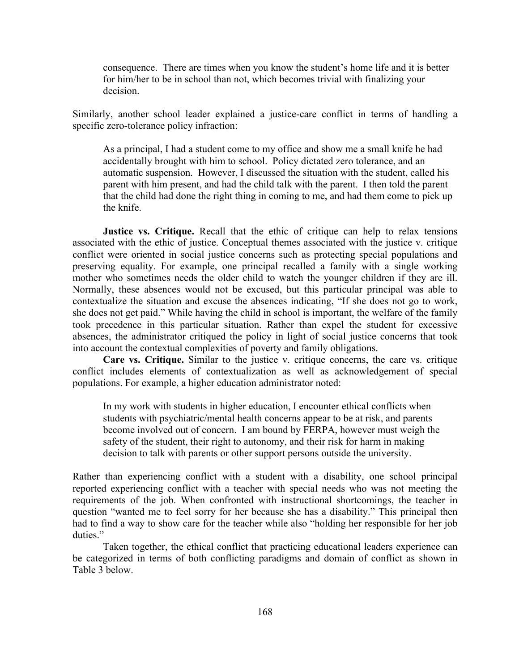consequence. There are times when you know the student's home life and it is better for him/her to be in school than not, which becomes trivial with finalizing your decision.

Similarly, another school leader explained a justice-care conflict in terms of handling a specific zero-tolerance policy infraction:

As a principal, I had a student come to my office and show me a small knife he had accidentally brought with him to school. Policy dictated zero tolerance, and an automatic suspension. However, I discussed the situation with the student, called his parent with him present, and had the child talk with the parent. I then told the parent that the child had done the right thing in coming to me, and had them come to pick up the knife.

**Justice vs. Critique.** Recall that the ethic of critique can help to relax tensions associated with the ethic of justice. Conceptual themes associated with the justice v. critique conflict were oriented in social justice concerns such as protecting special populations and preserving equality. For example, one principal recalled a family with a single working mother who sometimes needs the older child to watch the younger children if they are ill. Normally, these absences would not be excused, but this particular principal was able to contextualize the situation and excuse the absences indicating, "If she does not go to work, she does not get paid." While having the child in school is important, the welfare of the family took precedence in this particular situation. Rather than expel the student for excessive absences, the administrator critiqued the policy in light of social justice concerns that took into account the contextual complexities of poverty and family obligations.

**Care vs. Critique.** Similar to the justice v. critique concerns, the care vs. critique conflict includes elements of contextualization as well as acknowledgement of special populations. For example, a higher education administrator noted:

In my work with students in higher education, I encounter ethical conflicts when students with psychiatric/mental health concerns appear to be at risk, and parents become involved out of concern. I am bound by FERPA, however must weigh the safety of the student, their right to autonomy, and their risk for harm in making decision to talk with parents or other support persons outside the university.

Rather than experiencing conflict with a student with a disability, one school principal reported experiencing conflict with a teacher with special needs who was not meeting the requirements of the job. When confronted with instructional shortcomings, the teacher in question "wanted me to feel sorry for her because she has a disability." This principal then had to find a way to show care for the teacher while also "holding her responsible for her job duties."

Taken together, the ethical conflict that practicing educational leaders experience can be categorized in terms of both conflicting paradigms and domain of conflict as shown in Table 3 below.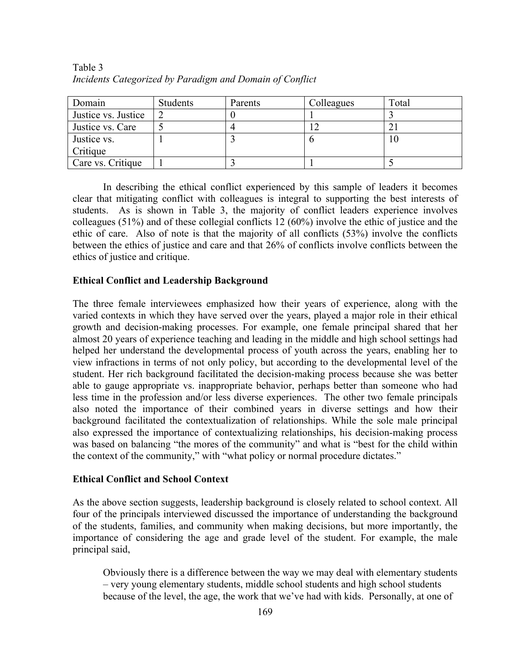| Domain              | Students | Parents | Colleagues | Total |
|---------------------|----------|---------|------------|-------|
| Justice vs. Justice |          |         |            |       |
| Justice vs. Care    |          |         |            |       |
| Justice vs.         |          |         |            | 10    |
| Critique            |          |         |            |       |
| Care vs. Critique   |          |         |            |       |

Table 3 *Incidents Categorized by Paradigm and Domain of Conflict*

In describing the ethical conflict experienced by this sample of leaders it becomes clear that mitigating conflict with colleagues is integral to supporting the best interests of students. As is shown in Table 3, the majority of conflict leaders experience involves colleagues (51%) and of these collegial conflicts 12 (60%) involve the ethic of justice and the ethic of care. Also of note is that the majority of all conflicts (53%) involve the conflicts between the ethics of justice and care and that 26% of conflicts involve conflicts between the ethics of justice and critique.

# **Ethical Conflict and Leadership Background**

The three female interviewees emphasized how their years of experience, along with the varied contexts in which they have served over the years, played a major role in their ethical growth and decision-making processes. For example, one female principal shared that her almost 20 years of experience teaching and leading in the middle and high school settings had helped her understand the developmental process of youth across the years, enabling her to view infractions in terms of not only policy, but according to the developmental level of the student. Her rich background facilitated the decision-making process because she was better able to gauge appropriate vs. inappropriate behavior, perhaps better than someone who had less time in the profession and/or less diverse experiences. The other two female principals also noted the importance of their combined years in diverse settings and how their background facilitated the contextualization of relationships. While the sole male principal also expressed the importance of contextualizing relationships, his decision-making process was based on balancing "the mores of the community" and what is "best for the child within the context of the community," with "what policy or normal procedure dictates."

# **Ethical Conflict and School Context**

As the above section suggests, leadership background is closely related to school context. All four of the principals interviewed discussed the importance of understanding the background of the students, families, and community when making decisions, but more importantly, the importance of considering the age and grade level of the student. For example, the male principal said,

Obviously there is a difference between the way we may deal with elementary students – very young elementary students, middle school students and high school students because of the level, the age, the work that we've had with kids. Personally, at one of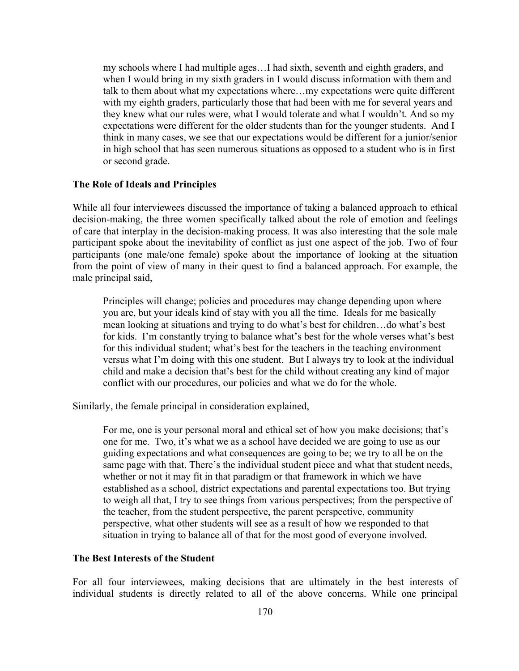my schools where I had multiple ages…I had sixth, seventh and eighth graders, and when I would bring in my sixth graders in I would discuss information with them and talk to them about what my expectations where…my expectations were quite different with my eighth graders, particularly those that had been with me for several years and they knew what our rules were, what I would tolerate and what I wouldn't. And so my expectations were different for the older students than for the younger students. And I think in many cases, we see that our expectations would be different for a junior/senior in high school that has seen numerous situations as opposed to a student who is in first or second grade.

# **The Role of Ideals and Principles**

While all four interviewees discussed the importance of taking a balanced approach to ethical decision-making, the three women specifically talked about the role of emotion and feelings of care that interplay in the decision-making process. It was also interesting that the sole male participant spoke about the inevitability of conflict as just one aspect of the job. Two of four participants (one male/one female) spoke about the importance of looking at the situation from the point of view of many in their quest to find a balanced approach. For example, the male principal said,

Principles will change; policies and procedures may change depending upon where you are, but your ideals kind of stay with you all the time. Ideals for me basically mean looking at situations and trying to do what's best for children…do what's best for kids. I'm constantly trying to balance what's best for the whole verses what's best for this individual student; what's best for the teachers in the teaching environment versus what I'm doing with this one student. But I always try to look at the individual child and make a decision that's best for the child without creating any kind of major conflict with our procedures, our policies and what we do for the whole.

Similarly, the female principal in consideration explained,

For me, one is your personal moral and ethical set of how you make decisions; that's one for me. Two, it's what we as a school have decided we are going to use as our guiding expectations and what consequences are going to be; we try to all be on the same page with that. There's the individual student piece and what that student needs, whether or not it may fit in that paradigm or that framework in which we have established as a school, district expectations and parental expectations too. But trying to weigh all that, I try to see things from various perspectives; from the perspective of the teacher, from the student perspective, the parent perspective, community perspective, what other students will see as a result of how we responded to that situation in trying to balance all of that for the most good of everyone involved.

# **The Best Interests of the Student**

For all four interviewees, making decisions that are ultimately in the best interests of individual students is directly related to all of the above concerns. While one principal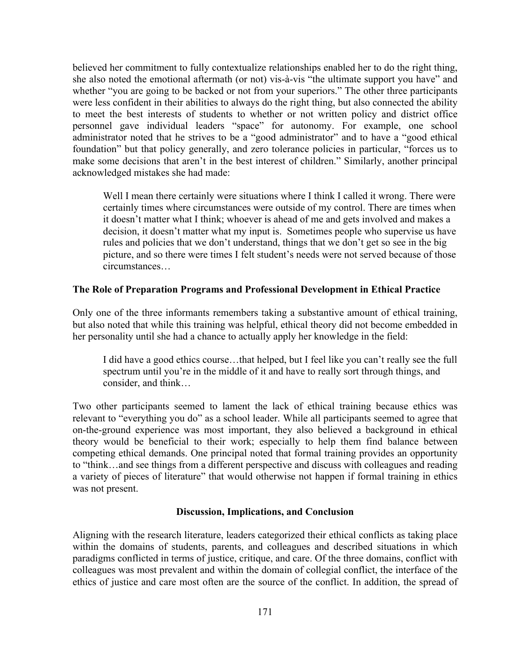believed her commitment to fully contextualize relationships enabled her to do the right thing, she also noted the emotional aftermath (or not) vis-à-vis "the ultimate support you have" and whether "you are going to be backed or not from your superiors." The other three participants were less confident in their abilities to always do the right thing, but also connected the ability to meet the best interests of students to whether or not written policy and district office personnel gave individual leaders "space" for autonomy. For example, one school administrator noted that he strives to be a "good administrator" and to have a "good ethical foundation" but that policy generally, and zero tolerance policies in particular, "forces us to make some decisions that aren't in the best interest of children." Similarly, another principal acknowledged mistakes she had made:

Well I mean there certainly were situations where I think I called it wrong. There were certainly times where circumstances were outside of my control. There are times when it doesn't matter what I think; whoever is ahead of me and gets involved and makes a decision, it doesn't matter what my input is. Sometimes people who supervise us have rules and policies that we don't understand, things that we don't get so see in the big picture, and so there were times I felt student's needs were not served because of those circumstances…

### **The Role of Preparation Programs and Professional Development in Ethical Practice**

Only one of the three informants remembers taking a substantive amount of ethical training, but also noted that while this training was helpful, ethical theory did not become embedded in her personality until she had a chance to actually apply her knowledge in the field:

I did have a good ethics course…that helped, but I feel like you can't really see the full spectrum until you're in the middle of it and have to really sort through things, and consider, and think…

Two other participants seemed to lament the lack of ethical training because ethics was relevant to "everything you do" as a school leader. While all participants seemed to agree that on-the-ground experience was most important, they also believed a background in ethical theory would be beneficial to their work; especially to help them find balance between competing ethical demands. One principal noted that formal training provides an opportunity to "think…and see things from a different perspective and discuss with colleagues and reading a variety of pieces of literature" that would otherwise not happen if formal training in ethics was not present.

# **Discussion, Implications, and Conclusion**

Aligning with the research literature, leaders categorized their ethical conflicts as taking place within the domains of students, parents, and colleagues and described situations in which paradigms conflicted in terms of justice, critique, and care. Of the three domains, conflict with colleagues was most prevalent and within the domain of collegial conflict, the interface of the ethics of justice and care most often are the source of the conflict. In addition, the spread of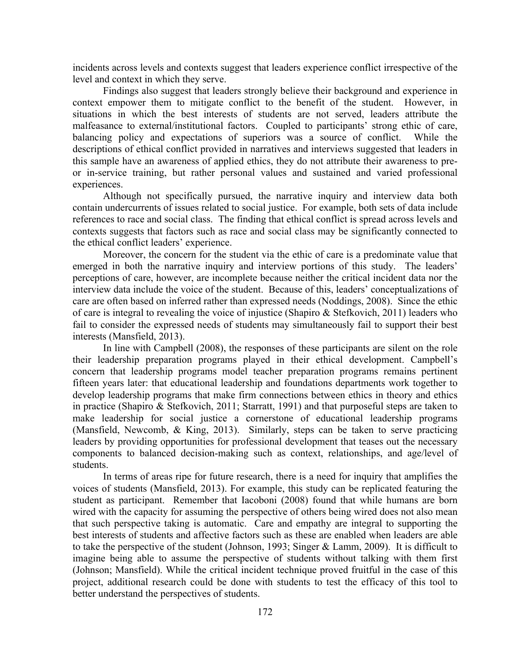incidents across levels and contexts suggest that leaders experience conflict irrespective of the level and context in which they serve.

Findings also suggest that leaders strongly believe their background and experience in context empower them to mitigate conflict to the benefit of the student. However, in situations in which the best interests of students are not served, leaders attribute the malfeasance to external/institutional factors. Coupled to participants' strong ethic of care, balancing policy and expectations of superiors was a source of conflict. While the descriptions of ethical conflict provided in narratives and interviews suggested that leaders in this sample have an awareness of applied ethics, they do not attribute their awareness to preor in-service training, but rather personal values and sustained and varied professional experiences.

Although not specifically pursued, the narrative inquiry and interview data both contain undercurrents of issues related to social justice. For example, both sets of data include references to race and social class. The finding that ethical conflict is spread across levels and contexts suggests that factors such as race and social class may be significantly connected to the ethical conflict leaders' experience.

Moreover, the concern for the student via the ethic of care is a predominate value that emerged in both the narrative inquiry and interview portions of this study. The leaders' perceptions of care, however, are incomplete because neither the critical incident data nor the interview data include the voice of the student. Because of this, leaders' conceptualizations of care are often based on inferred rather than expressed needs (Noddings, 2008). Since the ethic of care is integral to revealing the voice of injustice (Shapiro & Stefkovich, 2011) leaders who fail to consider the expressed needs of students may simultaneously fail to support their best interests (Mansfield, 2013).

In line with Campbell (2008), the responses of these participants are silent on the role their leadership preparation programs played in their ethical development. Campbell's concern that leadership programs model teacher preparation programs remains pertinent fifteen years later: that educational leadership and foundations departments work together to develop leadership programs that make firm connections between ethics in theory and ethics in practice (Shapiro & Stefkovich, 2011; Starratt, 1991) and that purposeful steps are taken to make leadership for social justice a cornerstone of educational leadership programs (Mansfield, Newcomb, & King, 2013). Similarly, steps can be taken to serve practicing leaders by providing opportunities for professional development that teases out the necessary components to balanced decision-making such as context, relationships, and age/level of students.

In terms of areas ripe for future research, there is a need for inquiry that amplifies the voices of students (Mansfield, 2013). For example, this study can be replicated featuring the student as participant. Remember that Iacoboni (2008) found that while humans are born wired with the capacity for assuming the perspective of others being wired does not also mean that such perspective taking is automatic. Care and empathy are integral to supporting the best interests of students and affective factors such as these are enabled when leaders are able to take the perspective of the student (Johnson, 1993; Singer & Lamm, 2009). It is difficult to imagine being able to assume the perspective of students without talking with them first (Johnson; Mansfield). While the critical incident technique proved fruitful in the case of this project, additional research could be done with students to test the efficacy of this tool to better understand the perspectives of students.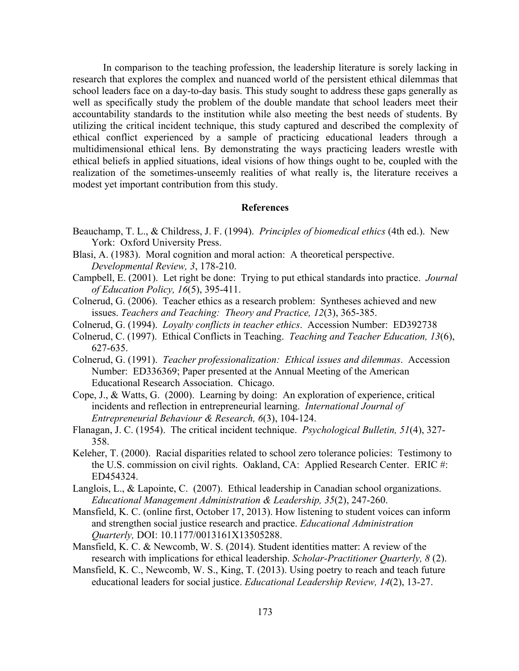In comparison to the teaching profession, the leadership literature is sorely lacking in research that explores the complex and nuanced world of the persistent ethical dilemmas that school leaders face on a day-to-day basis. This study sought to address these gaps generally as well as specifically study the problem of the double mandate that school leaders meet their accountability standards to the institution while also meeting the best needs of students. By utilizing the critical incident technique, this study captured and described the complexity of ethical conflict experienced by a sample of practicing educational leaders through a multidimensional ethical lens. By demonstrating the ways practicing leaders wrestle with ethical beliefs in applied situations, ideal visions of how things ought to be, coupled with the realization of the sometimes-unseemly realities of what really is, the literature receives a modest yet important contribution from this study.

# **References**

- Beauchamp, T. L., & Childress, J. F. (1994). *Principles of biomedical ethics* (4th ed.). New York: Oxford University Press.
- Blasi, A. (1983). Moral cognition and moral action: A theoretical perspective. *Developmental Review, 3*, 178-210.
- Campbell, E. (2001). Let right be done: Trying to put ethical standards into practice. *Journal of Education Policy, 16*(5), 395-411.
- Colnerud, G. (2006). Teacher ethics as a research problem: Syntheses achieved and new issues. *Teachers and Teaching: Theory and Practice, 12*(3), 365-385.
- Colnerud, G. (1994). *Loyalty conflicts in teacher ethics*. Accession Number: ED392738
- Colnerud, C. (1997). Ethical Conflicts in Teaching. *Teaching and Teacher Education, 13*(6), 627-635.
- Colnerud, G. (1991). *Teacher professionalization: Ethical issues and dilemmas*. Accession Number: ED336369; Paper presented at the Annual Meeting of the American Educational Research Association. Chicago.
- Cope, J., & Watts, G. (2000). Learning by doing: An exploration of experience, critical incidents and reflection in entrepreneurial learning. *International Journal of Entrepreneurial Behaviour & Research, 6*(3), 104-124.
- Flanagan, J. C. (1954). The critical incident technique. *Psychological Bulletin, 51*(4), 327- 358.
- Keleher, T. (2000). Racial disparities related to school zero tolerance policies: Testimony to the U.S. commission on civil rights. Oakland, CA: Applied Research Center. ERIC #: ED454324.
- Langlois, L., & Lapointe, C. (2007). Ethical leadership in Canadian school organizations. *Educational Management Administration & Leadership, 35*(2), 247-260.
- Mansfield, K. C. (online first, October 17, 2013). How listening to student voices can inform and strengthen social justice research and practice. *Educational Administration Quarterly,* DOI: 10.1177/0013161X13505288.
- Mansfield, K. C. & Newcomb, W. S. (2014). Student identities matter: A review of the research with implications for ethical leadership. *Scholar-Practitioner Quarterly, 8* (2).
- Mansfield, K. C., Newcomb, W. S., King, T. (2013). Using poetry to reach and teach future educational leaders for social justice. *Educational Leadership Review, 14*(2), 13-27.